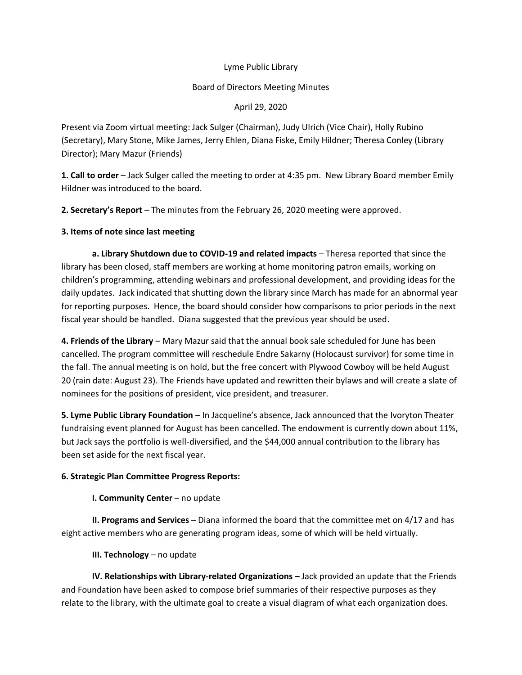#### Lyme Public Library

### Board of Directors Meeting Minutes

April 29, 2020

Present via Zoom virtual meeting: Jack Sulger (Chairman), Judy Ulrich (Vice Chair), Holly Rubino (Secretary), Mary Stone, Mike James, Jerry Ehlen, Diana Fiske, Emily Hildner; Theresa Conley (Library Director); Mary Mazur (Friends)

**1. Call to order** – Jack Sulger called the meeting to order at 4:35 pm. New Library Board member Emily Hildner was introduced to the board.

**2. Secretary's Report** – The minutes from the February 26, 2020 meeting were approved.

# **3. Items of note since last meeting**

**a. Library Shutdown due to COVID-19 and related impacts** – Theresa reported that since the library has been closed, staff members are working at home monitoring patron emails, working on children's programming, attending webinars and professional development, and providing ideas for the daily updates. Jack indicated that shutting down the library since March has made for an abnormal year for reporting purposes. Hence, the board should consider how comparisons to prior periods in the next fiscal year should be handled. Diana suggested that the previous year should be used.

**4. Friends of the Library** – Mary Mazur said that the annual book sale scheduled for June has been cancelled. The program committee will reschedule Endre Sakarny (Holocaust survivor) for some time in the fall. The annual meeting is on hold, but the free concert with Plywood Cowboy will be held August 20 (rain date: August 23). The Friends have updated and rewritten their bylaws and will create a slate of nominees for the positions of president, vice president, and treasurer.

**5. Lyme Public Library Foundation** – In Jacqueline's absence, Jack announced that the Ivoryton Theater fundraising event planned for August has been cancelled. The endowment is currently down about 11%, but Jack says the portfolio is well-diversified, and the \$44,000 annual contribution to the library has been set aside for the next fiscal year.

# **6. Strategic Plan Committee Progress Reports:**

#### **I. Community Center** – no update

**II. Programs and Services** – Diana informed the board that the committee met on 4/17 and has eight active members who are generating program ideas, some of which will be held virtually.

**III. Technology** – no update

**IV. Relationships with Library-related Organizations – Jack provided an update that the Friends** and Foundation have been asked to compose brief summaries of their respective purposes as they relate to the library, with the ultimate goal to create a visual diagram of what each organization does.